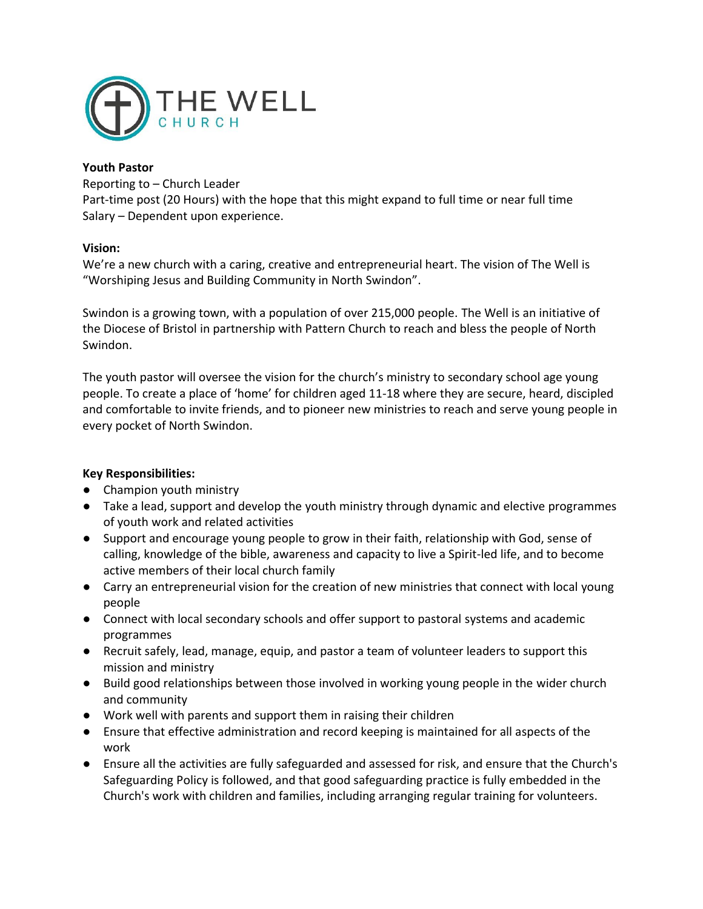

# **Youth Pastor**

Reporting to – Church Leader Part-time post (20 Hours) with the hope that this might expand to full time or near full time Salary – Dependent upon experience.

# **Vision:**

We're a new church with a caring, creative and entrepreneurial heart. The vision of The Well is "Worshiping Jesus and Building Community in North Swindon".

Swindon is a growing town, with a population of over 215,000 people. The Well is an initiative of the Diocese of Bristol in partnership with Pattern Church to reach and bless the people of North Swindon.

The youth pastor will oversee the vision for the church's ministry to secondary school age young people. To create a place of 'home' for children aged 11-18 where they are secure, heard, discipled and comfortable to invite friends, and to pioneer new ministries to reach and serve young people in every pocket of North Swindon.

# **Key Responsibilities:**

- Champion youth ministry
- Take a lead, support and develop the youth ministry through dynamic and elective programmes of youth work and related activities
- Support and encourage young people to grow in their faith, relationship with God, sense of calling, knowledge of the bible, awareness and capacity to live a Spirit-led life, and to become active members of their local church family
- Carry an entrepreneurial vision for the creation of new ministries that connect with local young people
- Connect with local secondary schools and offer support to pastoral systems and academic programmes
- Recruit safely, lead, manage, equip, and pastor a team of volunteer leaders to support this mission and ministry
- Build good relationships between those involved in working young people in the wider church and community
- Work well with parents and support them in raising their children
- Ensure that effective administration and record keeping is maintained for all aspects of the work
- Ensure all the activities are fully safeguarded and assessed for risk, and ensure that the Church's Safeguarding Policy is followed, and that good safeguarding practice is fully embedded in the Church's work with children and families, including arranging regular training for volunteers.